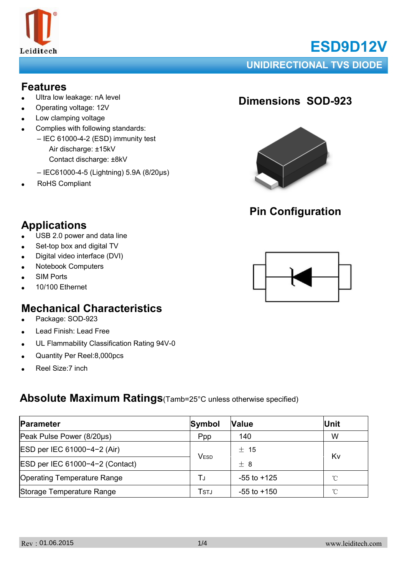

# **ESD9D12V**

#### **UNIDIRECTIONAL TVS DIODE**

#### **Features**

- Ultra low leakage: nA level
- Operating voltage: 12V
- Low clamping voltage
- Complies with following standards:
	- IEC 61000-4-2 (ESD) immunity test Air discharge: ±15kV Contact discharge: ±8kV
	- IEC61000-4-5 (Lightning) 5.9A (8/20μs)
- RoHS Compliant

### **Dimensions SOD-923**



## **Pin Configuration**

## **Applications**

- $\bullet$  USB 2.0 power and data line
- Set-top box and digital TV
- Digital video interface (DVI)
- **Notebook Computers**
- **SIM Ports**
- 10/100 Ethernet

#### **Mechanical Characteristics**

- Package: SOD-923
- Lead Finish: Lead Free
- UL Flammability Classification Rating 94V-0
- Quantity Per Reel:8,000pcs
- Reel Size: 7 inch

#### **Absolute Maximum Ratings**(Tamb=25°C unless otherwise specified)

| Parameter                          | Symbol                | <b>Value</b>    | Unit |  |
|------------------------------------|-----------------------|-----------------|------|--|
| Peak Pulse Power (8/20µs)          | Ppp                   | 140             | W    |  |
| ESD per IEC 61000-4-2 (Air)        | $±$ 15<br><b>VESD</b> |                 | Kv   |  |
| ESD per IEC 61000-4-2 (Contact)    |                       | $+8$            |      |  |
| <b>Operating Temperature Range</b> | T.ı                   | $-55$ to $+125$ | °C   |  |
| Storage Temperature Range          | Tstj                  | $-55$ to $+150$ | °C   |  |

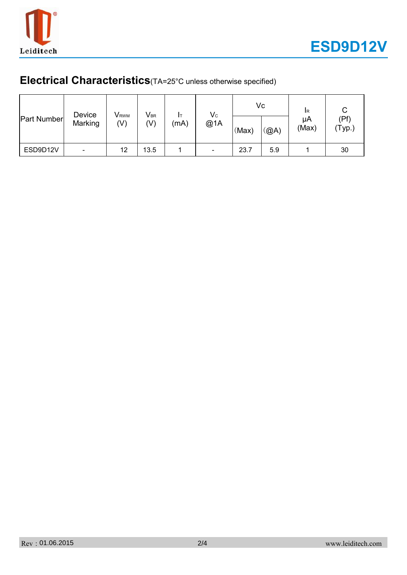

## **Electrical Characteristics**(TA=25°C unless otherwise specified)

| <b>Part Number</b> | Device<br>Marking | <b>V</b> <sub>RWM</sub><br>(V) | $\mathsf{V}_{\texttt{BR}}$<br>(V) | (mA) | $V_{C}$<br>@1A           | (Max) | Vc<br>(@A) | <b>IR</b><br>μA<br>(Max) | (Pf)<br>$'Typ.$ ) |
|--------------------|-------------------|--------------------------------|-----------------------------------|------|--------------------------|-------|------------|--------------------------|-------------------|
| ESD9D12V           |                   | 12                             | 13.5                              |      | $\overline{\phantom{a}}$ | 23.7  | 5.9        |                          | 30                |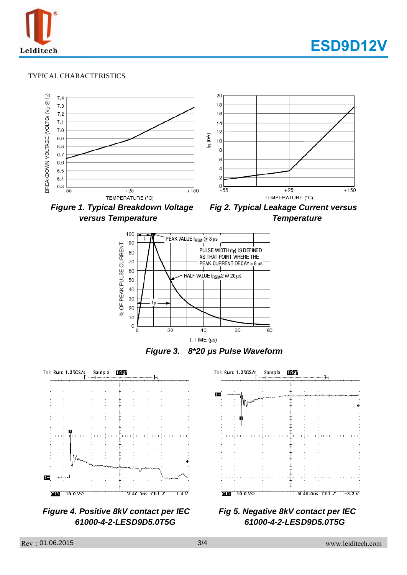



#### TYPICAL CHARACTERISTICS



*versus Temperature Temperature* 





*Figure 3. 8\*20 μs Pulse Waveform*